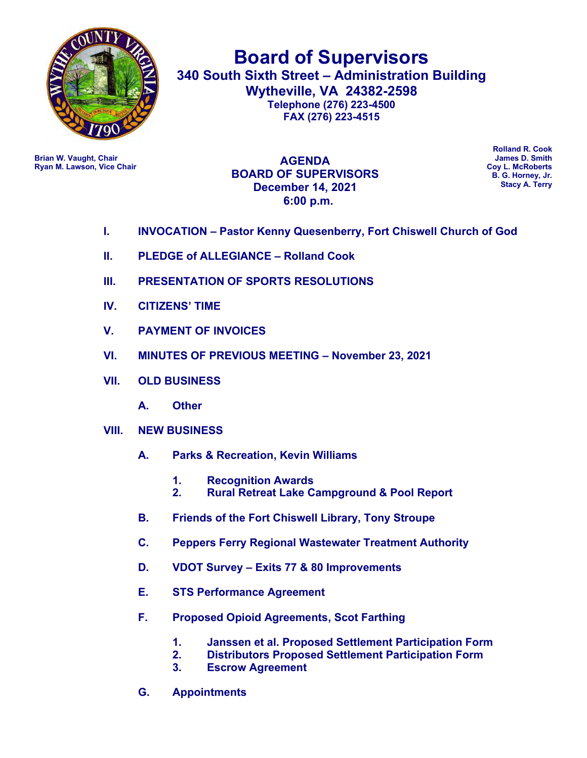

**Board of Supervisors 340 South Sixth Street – Administration Building Wytheville, VA 24382-2598 Telephone (276) 223-4500 FAX (276) 223-4515**

**Ryan M. Lawson, Vice Chair** 

**Brian W. Vaught, Chair Chair Brian W. Vaught, Chair James D. Smith**<br> **Brian W. Lawson, Vice Chair James D. Smith**<br> **Brian W. Lawson, Vice Chair AGENDA BOARD OF SUPERVISORS December 14, 2021 6:00 p.m.**

**Rolland R. Cook B. G. Horney, Jr. Stacy A. Terry**

- **I. INVOCATION – Pastor Kenny Quesenberry, Fort Chiswell Church of God**
- **II. PLEDGE of ALLEGIANCE – Rolland Cook**
- **III. PRESENTATION OF SPORTS RESOLUTIONS**
- **IV. CITIZENS' TIME**
- **V. PAYMENT OF INVOICES**
- **VI. MINUTES OF PREVIOUS MEETING – November 23, 2021**
- **VII. OLD BUSINESS**
	- **A. Other**
- **VIII. NEW BUSINESS** 
	- **A. Parks & Recreation, Kevin Williams**
		- **1. Recognition Awards**
		- **2. Rural Retreat Lake Campground & Pool Report**
	- **B. Friends of the Fort Chiswell Library, Tony Stroupe**
	- **C. Peppers Ferry Regional Wastewater Treatment Authority**
	- **D. VDOT Survey – Exits 77 & 80 Improvements**
	- **E. STS Performance Agreement**
	- **F. Proposed Opioid Agreements, Scot Farthing**
		- **1. Janssen et al. Proposed Settlement Participation Form**
		- **2. Distributors Proposed Settlement Participation Form**
		- **3. Escrow Agreement**
	- **G. Appointments**